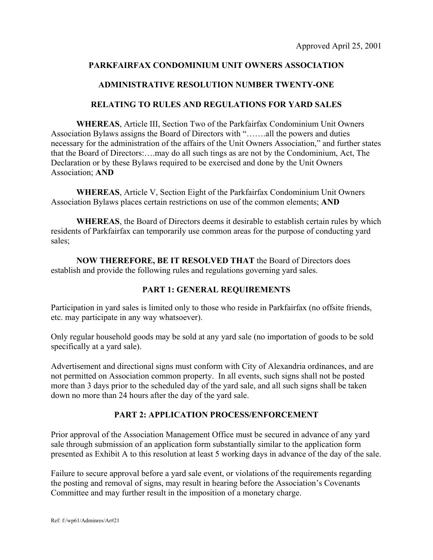# **PARKFAIRFAX CONDOMINIUM UNIT OWNERS ASSOCIATION**

# **ADMINISTRATIVE RESOLUTION NUMBER TWENTY-ONE**

## **RELATING TO RULES AND REGULATIONS FOR YARD SALES**

**WHEREAS**, Article III, Section Two of the Parkfairfax Condominium Unit Owners Association Bylaws assigns the Board of Directors with "…….all the powers and duties necessary for the administration of the affairs of the Unit Owners Association," and further states that the Board of Directors:….may do all such tings as are not by the Condominium, Act, The Declaration or by these Bylaws required to be exercised and done by the Unit Owners Association; **AND**

**WHEREAS**, Article V, Section Eight of the Parkfairfax Condominium Unit Owners Association Bylaws places certain restrictions on use of the common elements; **AND** 

**WHEREAS**, the Board of Directors deems it desirable to establish certain rules by which residents of Parkfairfax can temporarily use common areas for the purpose of conducting yard sales;

**NOW THEREFORE, BE IT RESOLVED THAT** the Board of Directors does establish and provide the following rules and regulations governing yard sales.

## **PART 1: GENERAL REQUIREMENTS**

Participation in yard sales is limited only to those who reside in Parkfairfax (no offsite friends, etc. may participate in any way whatsoever).

Only regular household goods may be sold at any yard sale (no importation of goods to be sold specifically at a yard sale).

Advertisement and directional signs must conform with City of Alexandria ordinances, and are not permitted on Association common property. In all events, such signs shall not be posted more than 3 days prior to the scheduled day of the yard sale, and all such signs shall be taken down no more than 24 hours after the day of the yard sale.

# **PART 2: APPLICATION PROCESS/ENFORCEMENT**

Prior approval of the Association Management Office must be secured in advance of any yard sale through submission of an application form substantially similar to the application form presented as Exhibit A to this resolution at least 5 working days in advance of the day of the sale.

Failure to secure approval before a yard sale event, or violations of the requirements regarding the posting and removal of signs, may result in hearing before the Association's Covenants Committee and may further result in the imposition of a monetary charge.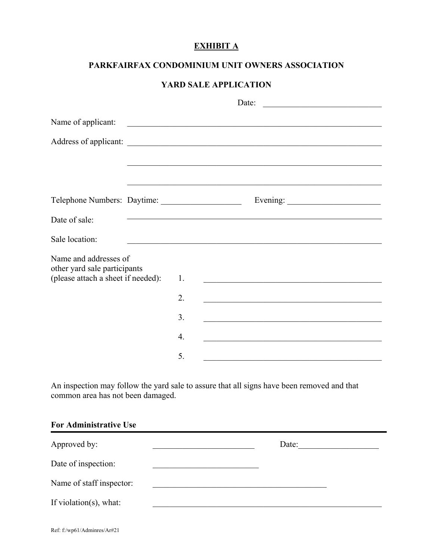# **EXHIBIT A**

## **PARKFAIRFAX CONDOMINIUM UNIT OWNERS ASSOCIATION**

## **YARD SALE APPLICATION**

|                                                       | Date:<br><u> 1989 - Andrea Barbara, poeta esperanto-</u> |                  |  |                                                                                                                      |  |
|-------------------------------------------------------|----------------------------------------------------------|------------------|--|----------------------------------------------------------------------------------------------------------------------|--|
| Name of applicant:                                    |                                                          |                  |  | <u> Andreas Andreas Andreas Andreas Andreas Andreas Andreas Andreas Andreas Andreas Andreas Andreas Andreas Andr</u> |  |
|                                                       |                                                          |                  |  |                                                                                                                      |  |
|                                                       |                                                          |                  |  |                                                                                                                      |  |
|                                                       |                                                          |                  |  |                                                                                                                      |  |
| Date of sale:                                         |                                                          |                  |  | the contract of the contract of the contract of the contract of the contract of the contract of the contract of      |  |
| Sale location:                                        |                                                          |                  |  |                                                                                                                      |  |
| Name and addresses of<br>other yard sale participants |                                                          |                  |  |                                                                                                                      |  |
| (please attach a sheet if needed):                    |                                                          | 1.               |  |                                                                                                                      |  |
|                                                       |                                                          | 2.               |  |                                                                                                                      |  |
|                                                       |                                                          | 3.               |  |                                                                                                                      |  |
|                                                       |                                                          | $\overline{4}$ . |  |                                                                                                                      |  |
|                                                       |                                                          | 5.               |  |                                                                                                                      |  |

An inspection may follow the yard sale to assure that all signs have been removed and that common area has not been damaged.

## **For Administrative Use**

| Approved by:             | Date: |  |
|--------------------------|-------|--|
| Date of inspection:      |       |  |
| Name of staff inspector: |       |  |
| If violation(s), what:   |       |  |